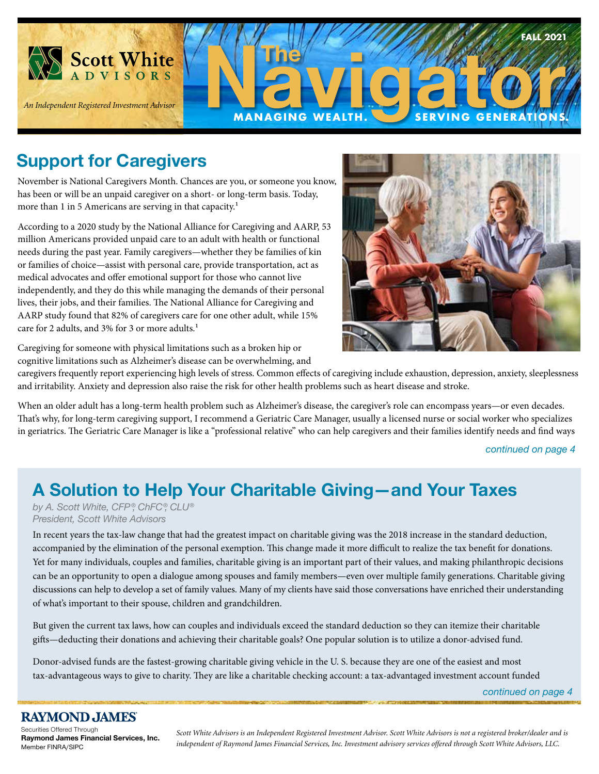

# **Support for Caregivers**

November is National Caregivers Month. Chances are you, or someone you know, has been or will be an unpaid caregiver on a short- or long-term basis. Today, more than 1 in 5 Americans are serving in that capacity.<sup>1</sup>

According to a 2020 study by the National Alliance for Caregiving and AARP, 53 million Americans provided unpaid care to an adult with health or functional needs during the past year. Family caregivers—whether they be families of kin or families of choice—assist with personal care, provide transportation, act as medical advocates and offer emotional support for those who cannot live independently, and they do this while managing the demands of their personal lives, their jobs, and their families. The National Alliance for Caregiving and AARP study found that 82% of caregivers care for one other adult, while 15% care for 2 adults, and 3% for 3 or more adults.<sup>1</sup>



Caregiving for someone with physical limitations such as a broken hip or cognitive limitations such as Alzheimer's disease can be overwhelming, and

caregivers frequently report experiencing high levels of stress. Common effects of caregiving include exhaustion, depression, anxiety, sleeplessness and irritability. Anxiety and depression also raise the risk for other health problems such as heart disease and stroke.

When an older adult has a long-term health problem such as Alzheimer's disease, the caregiver's role can encompass years—or even decades. That's why, for long-term caregiving support, I recommend a Geriatric Care Manager, usually a licensed nurse or social worker who specializes in geriatrics. The Geriatric Care Manager is like a "professional relative" who can help caregivers and their families identify needs and find ways

*continued on page 4*

# **A Solution to Help Your Charitable Giving—and Your Taxes**

*by A. Scott White, CFP ®, ChFC®, CLU® President, Scott White Advisors*

In recent years the tax-law change that had the greatest impact on charitable giving was the 2018 increase in the standard deduction, accompanied by the elimination of the personal exemption. This change made it more difficult to realize the tax benefit for donations. Yet for many individuals, couples and families, charitable giving is an important part of their values, and making philanthropic decisions can be an opportunity to open a dialogue among spouses and family members—even over multiple family generations. Charitable giving discussions can help to develop a set of family values. Many of my clients have said those conversations have enriched their understanding of what's important to their spouse, children and grandchildren.

But given the current tax laws, how can couples and individuals exceed the standard deduction so they can itemize their charitable gifts—deducting their donations and achieving their charitable goals? One popular solution is to utilize a donor-advised fund.

Donor-advised funds are the fastest-growing charitable giving vehicle in the U. S. because they are one of the easiest and most tax-advantageous ways to give to charity. They are like a charitable checking account: a tax-advantaged investment account funded

*continued on page 4*

#### **RAYMOND JAMES**

Securities Offered Through **Raymond James Financial Services, Inc.**  Member FINRA/SIPC

*Scott White Advisors is an Independent Registered Investment Advisor. Scott White Advisors is not a registered broker/dealer and is independent of Raymond James Financial Services, Inc. Investment advisory services offered through Scott White Advisors, LLC.*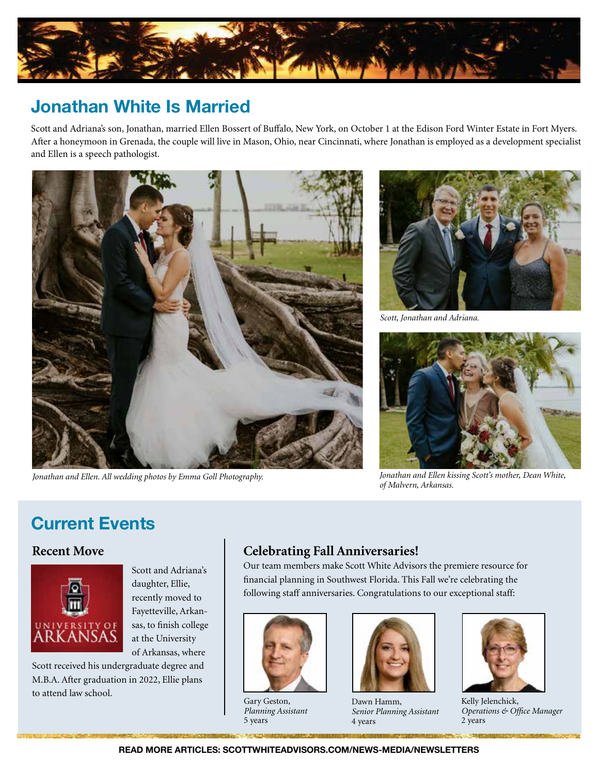

### **Jonathan White Is Married**

Scott and Adriana's son, Jonathan, married Ellen Bossert of Buffalo, New York, on October 1 at the Edison Ford Winter Estate in Fort Myers. After a honeymoon in Grenada, the couple will live in Mason, Ohio, near Cincinnati, where Jonathan is employed as a development specialist and Ellen is a speech pathologist.



*Jonathan and Ellen. All wedding photos by Emma Goll Photography.*



*Scott, Jonathan and Adriana.*



*Jonathan and Ellen kissing Scott's mother, Dean White, of Malvern, Arkansas.*

## **Current Events**

#### **Recent Move**



Scott and Adriana's daughter, Ellie, recently moved to Fayetteville, Arkansas, to finish college at the University of Arkansas, where

Scott received his undergraduate degree and M.B.A. After graduation in 2022, Ellie plans to attend law school.

### **Celebrating Fall Anniversaries!**

Our team members make Scott White Advisors the premiere resource for financial planning in Southwest Florida. This Fall we're celebrating the following staff anniversaries. Congratulations to our exceptional staff:



Gary Geston, *Planning Assistant* 5 years



Dawn Hamm, *Senior Planning Assistant*  4 years



Kelly Jelenchick, *Operations & Office Manager* 2 years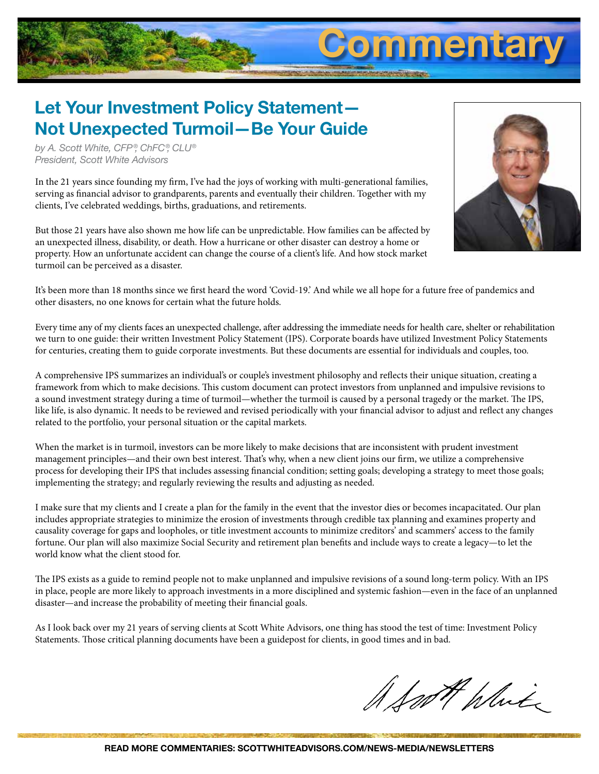# **Let Your Investment Policy Statement— Not Unexpected Turmoil—Be Your Guide**

*by A. Scott White, CFP ®, ChFC®, CLU® President, Scott White Advisors*

In the 21 years since founding my firm, I've had the joys of working with multi-generational families, serving as financial advisor to grandparents, parents and eventually their children. Together with my clients, I've celebrated weddings, births, graduations, and retirements.

But those 21 years have also shown me how life can be unpredictable. How families can be affected by an unexpected illness, disability, or death. How a hurricane or other disaster can destroy a home or property. How an unfortunate accident can change the course of a client's life. And how stock market turmoil can be perceived as a disaster.



**Commentary**

It's been more than 18 months since we first heard the word 'Covid-19.' And while we all hope for a future free of pandemics and other disasters, no one knows for certain what the future holds.

Every time any of my clients faces an unexpected challenge, after addressing the immediate needs for health care, shelter or rehabilitation we turn to one guide: their written Investment Policy Statement (IPS). Corporate boards have utilized Investment Policy Statements for centuries, creating them to guide corporate investments. But these documents are essential for individuals and couples, too.

A comprehensive IPS summarizes an individual's or couple's investment philosophy and reflects their unique situation, creating a framework from which to make decisions. This custom document can protect investors from unplanned and impulsive revisions to a sound investment strategy during a time of turmoil—whether the turmoil is caused by a personal tragedy or the market. The IPS, like life, is also dynamic. It needs to be reviewed and revised periodically with your financial advisor to adjust and reflect any changes related to the portfolio, your personal situation or the capital markets.

When the market is in turmoil, investors can be more likely to make decisions that are inconsistent with prudent investment management principles—and their own best interest. That's why, when a new client joins our firm, we utilize a comprehensive process for developing their IPS that includes assessing financial condition; setting goals; developing a strategy to meet those goals; implementing the strategy; and regularly reviewing the results and adjusting as needed.

I make sure that my clients and I create a plan for the family in the event that the investor dies or becomes incapacitated. Our plan includes appropriate strategies to minimize the erosion of investments through credible tax planning and examines property and causality coverage for gaps and loopholes, or title investment accounts to minimize creditors' and scammers' access to the family fortune. Our plan will also maximize Social Security and retirement plan benefits and include ways to create a legacy—to let the world know what the client stood for.

The IPS exists as a guide to remind people not to make unplanned and impulsive revisions of a sound long-term policy. With an IPS in place, people are more likely to approach investments in a more disciplined and systemic fashion—even in the face of an unplanned disaster—and increase the probability of meeting their financial goals.

As I look back over my 21 years of serving clients at Scott White Advisors, one thing has stood the test of time: Investment Policy Statements. Those critical planning documents have been a guidepost for clients, in good times and in bad.

A South White